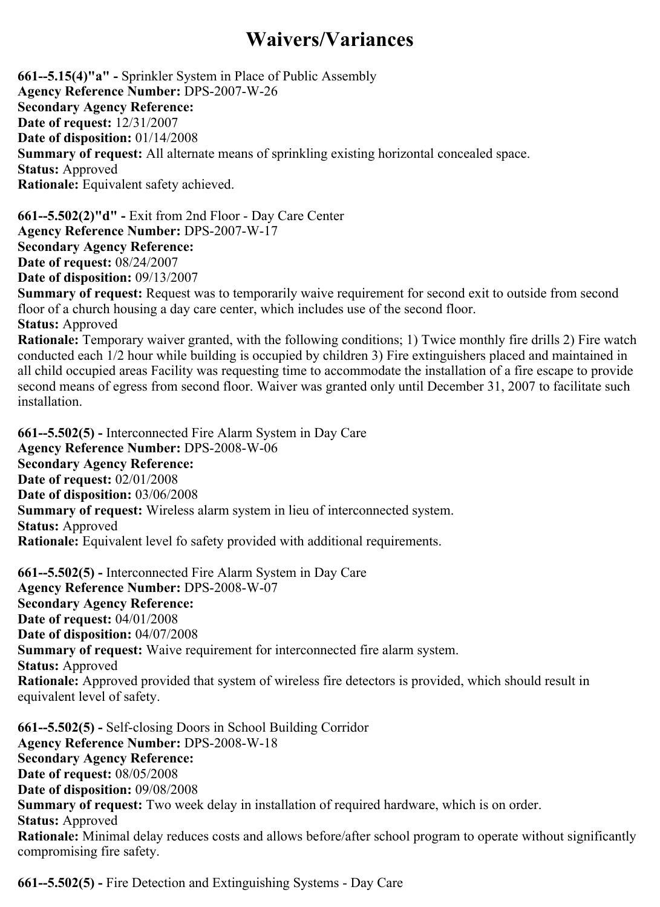## Waivers/Variances

 $661$ --5.15(4)"a" - Sprinkler System in Place of Public Assembly Agency Reference Number: DPS-2007-W-26 Secondary Agency Reference: Date of request: 12/31/2007 Date of disposition: 01/14/2008 Summary of request: All alternate means of sprinkling existing horizontal concealed space. Status: Approved Rationale: Equivalent safety achieved.

 $661 - 5.502(2)$ "d" - Exit from 2nd Floor - Day Care Center Agency Reference Number: DPS-2007-W-17 Secondary Agency Reference: Date of request: 08/24/2007 Date of disposition: 09/13/2007

Summary of request: Request was to temporarily waive requirement for second exit to outside from second floor of a church housing a day care center, which includes use of the second floor. Status: Approved

Rationale: Temporary waiver granted, with the following conditions; 1) Twice monthly fire drills 2) Fire watch conducted each 1/2 hour while building is occupied by children 3) Fire extinguishers placed and maintained in all child occupied areas Facility was requesting time to accommodate the installation of a fire escape to provide second means of egress from second floor. Waiver was granted only until December 31, 2007 to facilitate such installation.

661--5.502(5) - Interconnected Fire Alarm System in Day Care Agency Reference Number: DPS-2008-W-06 Secondary Agency Reference: Date of request: 02/01/2008 Date of disposition: 03/06/2008 Summary of request: Wireless alarm system in lieu of interconnected system. Status: Approved Rationale: Equivalent level fo safety provided with additional requirements.

661--5.502(5) - Interconnected Fire Alarm System in Day Care Agency Reference Number: DPS-2008-W-07 Secondary Agency Reference: Date of request: 04/01/2008 Date of disposition: 04/07/2008 Summary of request: Waive requirement for interconnected fire alarm system. Status: Approved Rationale: Approved provided that system of wireless fire detectors is provided, which should result in equivalent level of safety.

 $661 - 5.502(5)$  - Self-closing Doors in School Building Corridor Agency Reference Number: DPS-2008-W-18 Secondary Agency Reference: Date of request: 08/05/2008 Date of disposition: 09/08/2008 Summary of request: Two week delay in installation of required hardware, which is on order. Status: Approved Rationale: Minimal delay reduces costs and allows before/after school program to operate without significantly compromising fire safety.

 $661$ - $-5.502(5)$  - Fire Detection and Extinguishing Systems - Day Care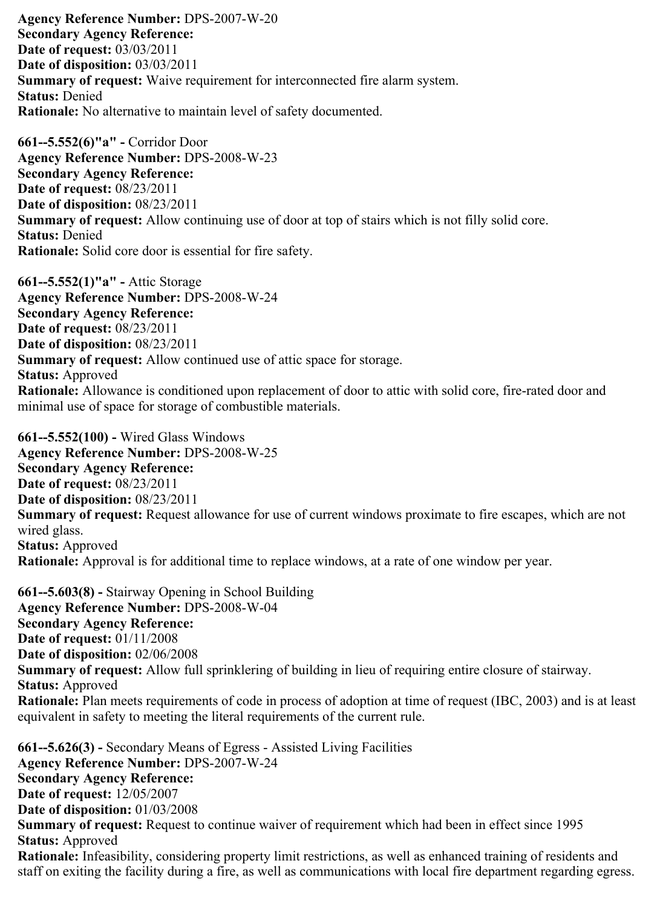Agency Reference Number: DPS-2007-W-20 Secondary Agency Reference: Date of request: 03/03/2011 Date of disposition: 03/03/2011 Summary of request: Waive requirement for interconnected fire alarm system. Status: Denied Rationale: No alternative to maintain level of safety documented.

661--5.552(6)"a" - Corridor Door Agency Reference Number: DPS-2008-W-23 Secondary Agency Reference: Date of request: 08/23/2011 Date of disposition: 08/23/2011 Summary of request: Allow continuing use of door at top of stairs which is not filly solid core. Status: Denied Rationale: Solid core door is essential for fire safety.

 $661 - 5.552(1)$ "a" - Attic Storage Agency Reference Number: DPS-2008-W-24 Secondary Agency Reference: Date of request: 08/23/2011 Date of disposition: 08/23/2011 Summary of request: Allow continued use of attic space for storage. Status: Approved Rationale: Allowance is conditioned upon replacement of door to attic with solid core, fire-rated door and minimal use of space for storage of combustible materials.

661--5.552(100) - Wired Glass Windows Agency Reference Number: DPS-2008-W-25 Secondary Agency Reference: Date of request: 08/23/2011 Date of disposition: 08/23/2011 Summary of request: Request allowance for use of current windows proximate to fire escapes, which are not wired glass. Status: Approved Rationale: Approval is for additional time to replace windows, at a rate of one window per year.

 $661 - 5.603(8)$  - Stairway Opening in School Building Agency Reference Number: DPS-2008-W-04 Secondary Agency Reference: Date of request: 01/11/2008 Date of disposition: 02/06/2008 Summary of request: Allow full sprinklering of building in lieu of requiring entire closure of stairway. Status: Approved Rationale: Plan meets requirements of code in process of adoption at time of request (IBC, 2003) and is at least equivalent in safety to meeting the literal requirements of the current rule.

 $661 - 5.626(3)$  - Secondary Means of Egress - Assisted Living Facilities Agency Reference Number: DPS-2007-W-24 Secondary Agency Reference: Date of request: 12/05/2007 Date of disposition: 01/03/2008 Summary of request: Request to continue waiver of requirement which had been in effect since 1995 Status: Approved Rationale: Infeasibility, considering property limit restrictions, as well as enhanced training of residents and staff on exiting the facility during a fire, as well as communications with local fire department regarding egress.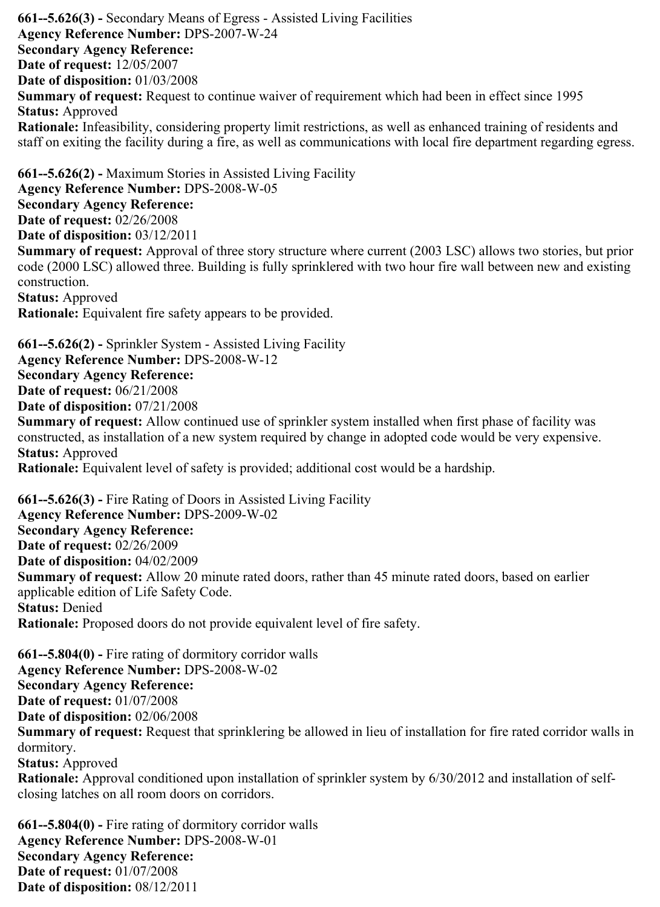$661$ - $-5.626(3)$  - Secondary Means of Egress - Assisted Living Facilities Agency Reference Number: DPS-2007-W-24 Secondary Agency Reference: Date of request: 12/05/2007 Date of disposition: 01/03/2008 Summary of request: Request to continue waiver of requirement which had been in effect since 1995 Status: Approved Rationale: Infeasibility, considering property limit restrictions, as well as enhanced training of residents and staff on exiting the facility during a fire, as well as communications with local fire department regarding egress.  $661 - 5.626(2)$  - Maximum Stories in Assisted Living Facility

Agency Reference Number: DPS-2008-W-05 Secondary Agency Reference: Date of request: 02/26/2008 Date of disposition: 03/12/2011 Summary of request: Approval of three story structure where current (2003 LSC) allows two stories, but prior code (2000 LSC) allowed three. Building is fully sprinklered with two hour fire wall between new and existing construction. Status: Approved

Rationale: Equivalent fire safety appears to be provided.

 $661 - 5.626(2)$  - Sprinkler System - Assisted Living Facility

Agency Reference Number: DPS-2008-W-12

Secondary Agency Reference:

Date of request: 06/21/2008

Date of disposition: 07/21/2008

Summary of request: Allow continued use of sprinkler system installed when first phase of facility was constructed, as installation of a new system required by change in adopted code would be very expensive. Status: Approved

Rationale: Equivalent level of safety is provided; additional cost would be a hardship.

 $661$ --5.626(3) - Fire Rating of Doors in Assisted Living Facility Agency Reference Number: DPS-2009-W-02 Secondary Agency Reference: Date of request: 02/26/2009 Date of disposition: 04/02/2009 Summary of request: Allow 20 minute rated doors, rather than 45 minute rated doors, based on earlier applicable edition of Life Safety Code. Status: Denied Rationale: Proposed doors do not provide equivalent level of fire safety.

 $661 - 5.804(0)$  - Fire rating of dormitory corridor walls Agency Reference Number: DPS-2008-W-02 Secondary Agency Reference: Date of request: 01/07/2008 Date of disposition: 02/06/2008 Summary of request: Request that sprinklering be allowed in lieu of installation for fire rated corridor walls in dormitory. Status: Approved Rationale: Approval conditioned upon installation of sprinkler system by 6/30/2012 and installation of selfclosing latches on all room doors on corridors.

 $661 - 5.804(0)$  - Fire rating of dormitory corridor walls Agency Reference Number: DPS-2008-W-01 Secondary Agency Reference: Date of request: 01/07/2008 Date of disposition: 08/12/2011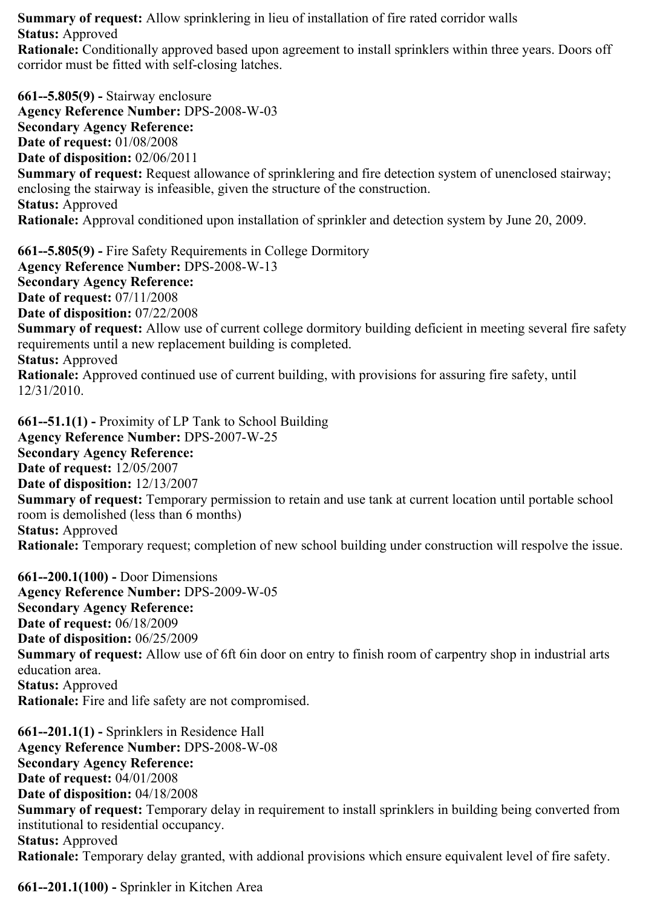Summary of request: Allow sprinklering in lieu of installation of fire rated corridor walls Status: Approved

Rationale: Conditionally approved based upon agreement to install sprinklers within three years. Doors off corridor must be fitted with self-closing latches.

661--5.805(9) - Stairway enclosure Agency Reference Number: DPS-2008-W-03 Secondary Agency Reference: Date of request: 01/08/2008 Date of disposition: 02/06/2011 Summary of request: Request allowance of sprinklering and fire detection system of unenclosed stairway; enclosing the stairway is infeasible, given the structure of the construction. Status: Approved Rationale: Approval conditioned upon installation of sprinkler and detection system by June 20, 2009.

661--5.805(9) - Fire Safety Requirements in College Dormitory Agency Reference Number: DPS-2008-W-13 Secondary Agency Reference: Date of request: 07/11/2008 Date of disposition: 07/22/2008 Summary of request: Allow use of current college dormitory building deficient in meeting several fire safety requirements until a new replacement building is completed. Status: Approved Rationale: Approved continued use of current building, with provisions for assuring fire safety, until 12/31/2010.

 $661 - 51.1(1)$  - Proximity of LP Tank to School Building Agency Reference Number: DPS-2007-W-25 Secondary Agency Reference: Date of request: 12/05/2007 Date of disposition: 12/13/2007 Summary of request: Temporary permission to retain and use tank at current location until portable school room is demolished (less than 6 months) Status: Approved Rationale: Temporary request; completion of new school building under construction will respolve the issue.

 $661 - 200.1(100)$  - Door Dimensions Agency Reference Number: DPS-2009-W-05 Secondary Agency Reference: Date of request: 06/18/2009 Date of disposition: 06/25/2009 Summary of request: Allow use of 6ft 6in door on entry to finish room of carpentry shop in industrial arts education area. Status: Approved Rationale: Fire and life safety are not compromised.

 $661 - 201.1(1)$  - Sprinklers in Residence Hall Agency Reference Number: DPS-2008-W-08 Secondary Agency Reference: Date of request: 04/01/2008 Date of disposition: 04/18/2008 Summary of request: Temporary delay in requirement to install sprinklers in building being converted from institutional to residential occupancy. Status: Approved Rationale: Temporary delay granted, with addional provisions which ensure equivalent level of fire safety.

661--201.1(100) - Sprinkler in Kitchen Area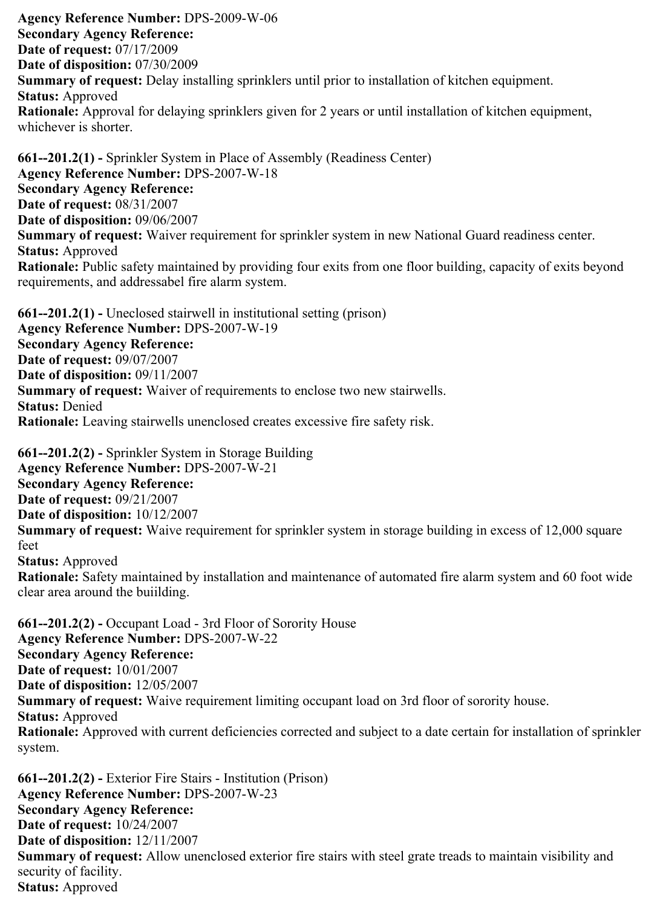Agency Reference Number: DPS-2009-W-06 Secondary Agency Reference: Date of request: 07/17/2009 Date of disposition: 07/30/2009 Summary of request: Delay installing sprinklers until prior to installation of kitchen equipment. Status: Approved Rationale: Approval for delaying sprinklers given for 2 years or until installation of kitchen equipment, whichever is shorter.

661--201.2(1) - Sprinkler System in Place of Assembly (Readiness Center) Agency Reference Number: DPS-2007-W-18 Secondary Agency Reference: Date of request: 08/31/2007 Date of disposition: 09/06/2007 Summary of request: Waiver requirement for sprinkler system in new National Guard readiness center. Status: Approved Rationale: Public safety maintained by providing four exits from one floor building, capacity of exits beyond requirements, and addressabel fire alarm system.

 $661 - 201.2(1)$  - Uneclosed stairwell in institutional setting (prison) Agency Reference Number: DPS-2007-W-19 Secondary Agency Reference: Date of request: 09/07/2007 Date of disposition: 09/11/2007 Summary of request: Waiver of requirements to enclose two new stairwells. Status: Denied Rationale: Leaving stairwells unenclosed creates excessive fire safety risk.

clear area around the buiilding.

 $661 - 201.2(2)$  - Sprinkler System in Storage Building Agency Reference Number: DPS-2007-W-21 Secondary Agency Reference: Date of request: 09/21/2007 Date of disposition: 10/12/2007 Summary of request: Waive requirement for sprinkler system in storage building in excess of 12,000 square feet Status: Approved Rationale: Safety maintained by installation and maintenance of automated fire alarm system and 60 foot wide

 $661 - 201.2(2)$  - Occupant Load - 3rd Floor of Sorority House Agency Reference Number: DPS-2007-W-22 Secondary Agency Reference: Date of request: 10/01/2007 Date of disposition: 12/05/2007 Summary of request: Waive requirement limiting occupant load on 3rd floor of sorority house. Status: Approved Rationale: Approved with current deficiencies corrected and subject to a date certain for installation of sprinkler system.

 $661 - 201.2(2)$  - Exterior Fire Stairs - Institution (Prison) Agency Reference Number: DPS-2007-W-23 Secondary Agency Reference: Date of request: 10/24/2007 Date of disposition: 12/11/2007 Summary of request: Allow unenclosed exterior fire stairs with steel grate treads to maintain visibility and security of facility. Status: Approved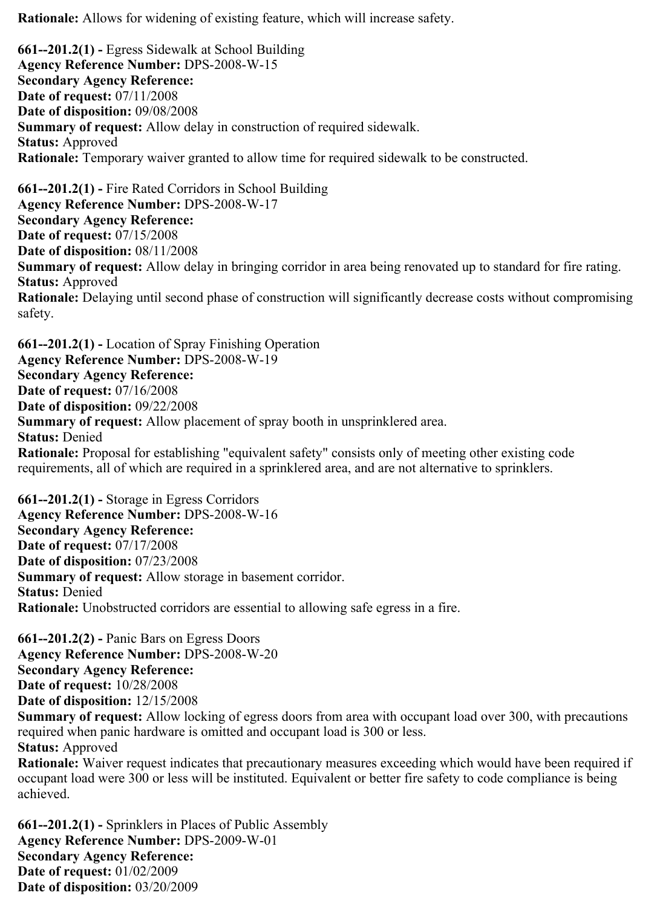Rationale: Allows for widening of existing feature, which will increase safety.

 $661 - 201.2(1)$  - Egress Sidewalk at School Building Agency Reference Number: DPS-2008-W-15 Secondary Agency Reference: Date of request: 07/11/2008 Date of disposition: 09/08/2008 Summary of request: Allow delay in construction of required sidewalk. Status: Approved Rationale: Temporary waiver granted to allow time for required sidewalk to be constructed.  $661 - 201.2(1)$  - Fire Rated Corridors in School Building Agency Reference Number: DPS-2008-W-17 Secondary Agency Reference: Date of request: 07/15/2008 Date of disposition: 08/11/2008 Summary of request: Allow delay in bringing corridor in area being renovated up to standard for fire rating. Status: Approved Rationale: Delaying until second phase of construction will significantly decrease costs without compromising safety.

 $661 - 201.2(1)$  - Location of Spray Finishing Operation Agency Reference Number: DPS-2008-W-19 Secondary Agency Reference: Date of request: 07/16/2008 Date of disposition: 09/22/2008 Summary of request: Allow placement of spray booth in unsprinklered area. Status: Denied Rationale: Proposal for establishing "equivalent safety" consists only of meeting other existing code requirements, all of which are required in a sprinklered area, and are not alternative to sprinklers.

 $661 - 201.2(1)$  - Storage in Egress Corridors Agency Reference Number: DPS-2008-W-16 Secondary Agency Reference: Date of request: 07/17/2008 Date of disposition: 07/23/2008 Summary of request: Allow storage in basement corridor. Status: Denied Rationale: Unobstructed corridors are essential to allowing safe egress in a fire.

 $661 - 201.2(2)$  - Panic Bars on Egress Doors Agency Reference Number: DPS-2008-W-20 Secondary Agency Reference: Date of request: 10/28/2008 Date of disposition: 12/15/2008

Summary of request: Allow locking of egress doors from area with occupant load over 300, with precautions required when panic hardware is omitted and occupant load is 300 or less. Status: Approved

Rationale: Waiver request indicates that precautionary measures exceeding which would have been required if occupant load were 300 or less will be instituted. Equivalent or better fire safety to code compliance is being achieved.

 $661 - 201.2(1)$  - Sprinklers in Places of Public Assembly Agency Reference Number: DPS-2009-W-01 Secondary Agency Reference: Date of request: 01/02/2009 Date of disposition: 03/20/2009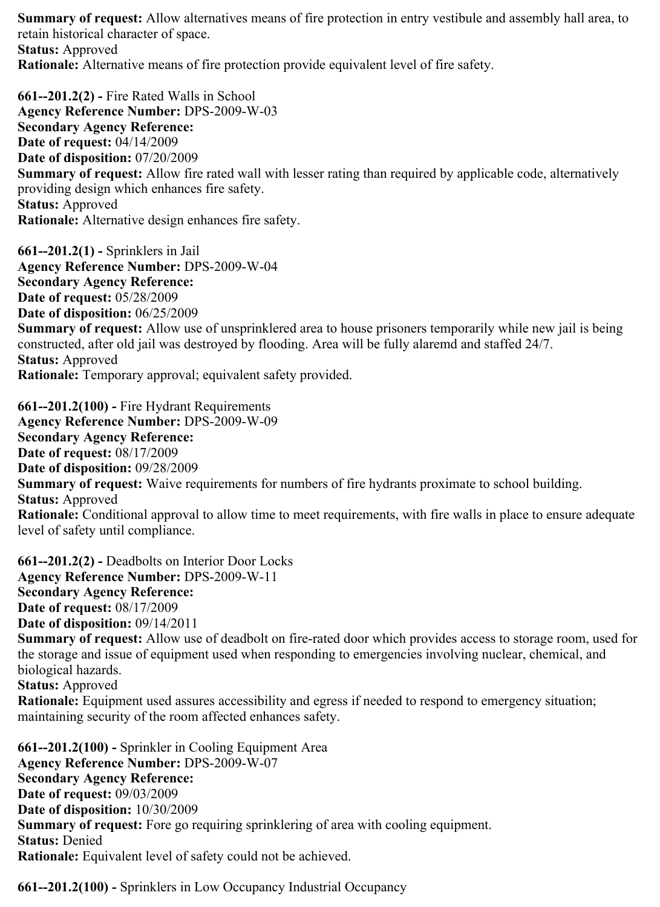Summary of request: Allow alternatives means of fire protection in entry vestibule and assembly hall area, to retain historical character of space. Status: Approved Rationale: Alternative means of fire protection provide equivalent level of fire safety.

 $661 - 201.2(2)$  - Fire Rated Walls in School Agency Reference Number: DPS-2009-W-03 Secondary Agency Reference: Date of request: 04/14/2009 Date of disposition: 07/20/2009 Summary of request: Allow fire rated wall with lesser rating than required by applicable code, alternatively providing design which enhances fire safety. Status: Approved Rationale: Alternative design enhances fire safety.

 $661 - 201.2(1)$  - Sprinklers in Jail Agency Reference Number: DPS-2009-W-04 Secondary Agency Reference: Date of request: 05/28/2009 Date of disposition: 06/25/2009 Summary of request: Allow use of unsprinklered area to house prisoners temporarily while new jail is being constructed, after old jail was destroyed by flooding. Area will be fully alaremd and staffed 24/7. Status: Approved Rationale: Temporary approval; equivalent safety provided.

 $661 - 201.2(100)$  - Fire Hydrant Requirements Agency Reference Number: DPS-2009-W-09 Secondary Agency Reference: Date of request: 08/17/2009 Date of disposition: 09/28/2009 Summary of request: Waive requirements for numbers of fire hydrants proximate to school building. Status: Approved Rationale: Conditional approval to allow time to meet requirements, with fire walls in place to ensure adequate level of safety until compliance.

 $661 - 201.2(2)$  - Deadbolts on Interior Door Locks Agency Reference Number: DPS-2009-W-11 Secondary Agency Reference: Date of request: 08/17/2009 Date of disposition: 09/14/2011 Summary of request: Allow use of deadbolt on fire-rated door which provides access to storage room, used for the storage and issue of equipment used when responding to emergencies involving nuclear, chemical, and biological hazards. Status: Approved Rationale: Equipment used assures accessibility and egress if needed to respond to emergency situation; maintaining security of the room affected enhances safety.

 $661 - 201.2(100)$  - Sprinkler in Cooling Equipment Area Agency Reference Number: DPS-2009-W-07 Secondary Agency Reference: Date of request: 09/03/2009 Date of disposition: 10/30/2009 Summary of request: Fore go requiring sprinklering of area with cooling equipment. Status: Denied Rationale: Equivalent level of safety could not be achieved.

661--201.2(100) - Sprinklers in Low Occupancy Industrial Occupancy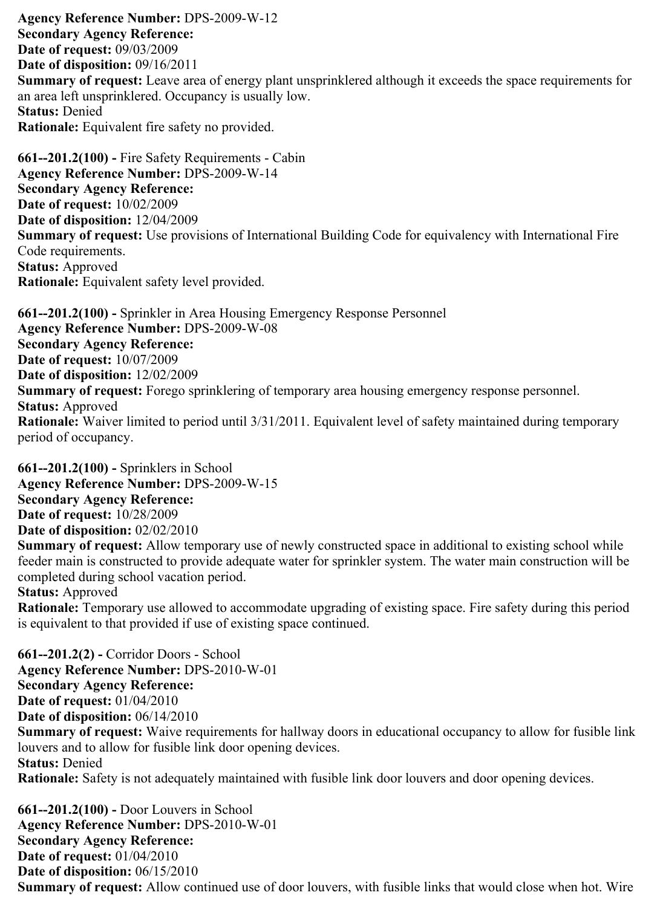Agency Reference Number: DPS-2009-W-12 Secondary Agency Reference: Date of request: 09/03/2009 Date of disposition: 09/16/2011 Summary of request: Leave area of energy plant unsprinklered although it exceeds the space requirements for an area left unsprinklered. Occupancy is usually low. Status: Denied Rationale: Equivalent fire safety no provided.

 $661 - 201.2(100)$  - Fire Safety Requirements - Cabin Agency Reference Number: DPS-2009-W-14 Secondary Agency Reference: Date of request: 10/02/2009 Date of disposition: 12/04/2009 Summary of request: Use provisions of International Building Code for equivalency with International Fire Code requirements. Status: Approved Rationale: Equivalent safety level provided.

661--201.2(100) - Sprinkler in Area Housing Emergency Response Personnel Agency Reference Number: DPS-2009-W-08 Secondary Agency Reference: Date of request: 10/07/2009 Date of disposition: 12/02/2009 Summary of request: Forego sprinklering of temporary area housing emergency response personnel. Status: Approved Rationale: Waiver limited to period until 3/31/2011. Equivalent level of safety maintained during temporary period of occupancy.

 $661 - 201.2(100)$  - Sprinklers in School Agency Reference Number: DPS-2009-W-15 Secondary Agency Reference: Date of request: 10/28/2009 Date of disposition: 02/02/2010 Summary of request: Allow temporary use of newly constructed space in additional to existing school while feeder main is constructed to provide adequate water for sprinkler system. The water main construction will be completed during school vacation period. Status: Approved Rationale: Temporary use allowed to accommodate upgrading of existing space. Fire safety during this period

is equivalent to that provided if use of existing space continued.

 $661 - 201.2(2)$  - Corridor Doors - School Agency Reference Number: DPS-2010-W-01 Secondary Agency Reference: Date of request: 01/04/2010 Date of disposition: 06/14/2010 Summary of request: Waive requirements for hallway doors in educational occupancy to allow for fusible link louvers and to allow for fusible link door opening devices. Status: Denied Rationale: Safety is not adequately maintained with fusible link door louvers and door opening devices.

 $661 - 201.2(100)$  - Door Louvers in School Agency Reference Number: DPS-2010-W-01 Secondary Agency Reference: Date of request: 01/04/2010 Date of disposition: 06/15/2010 Summary of request: Allow continued use of door louvers, with fusible links that would close when hot. Wire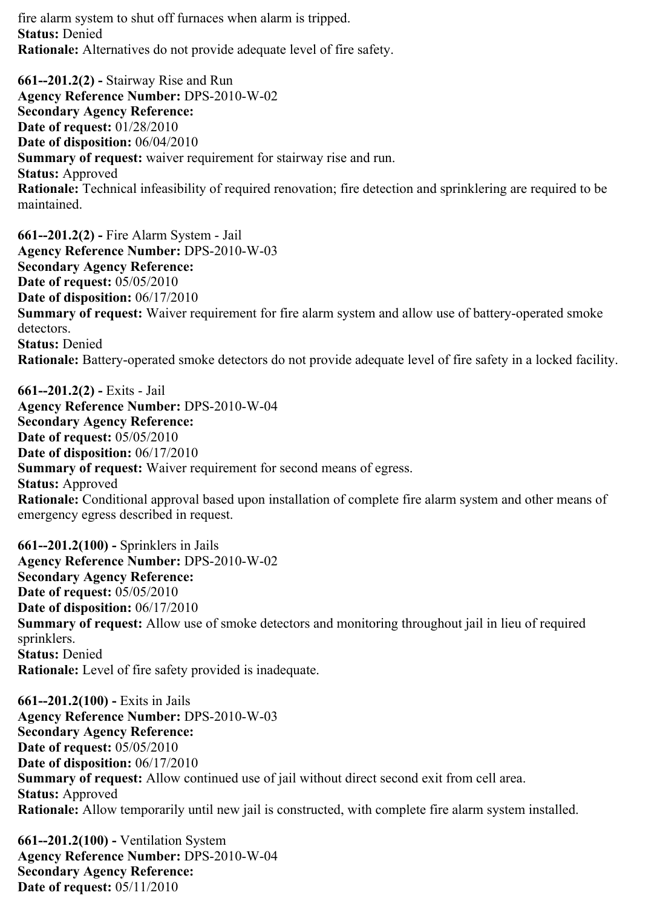fire alarm system to shut off furnaces when alarm is tripped. Status: Denied Rationale: Alternatives do not provide adequate level of fire safety.

 $661 - 201.2(2)$  - Stairway Rise and Run Agency Reference Number: DPS-2010-W-02 Secondary Agency Reference: Date of request: 01/28/2010 Date of disposition: 06/04/2010 Summary of request: waiver requirement for stairway rise and run. Status: Approved Rationale: Technical infeasibility of required renovation; fire detection and sprinklering are required to be maintained.

 $661 - 201.2(2)$  - Fire Alarm System - Jail Agency Reference Number: DPS-2010-W-03 Secondary Agency Reference: Date of request: 05/05/2010 Date of disposition: 06/17/2010 Summary of request: Waiver requirement for fire alarm system and allow use of battery-operated smoke detectors. Status: Denied Rationale: Battery-operated smoke detectors do not provide adequate level of fire safety in a locked facility.

 $661 - 201.2(2)$  - Exits - Jail Agency Reference Number: DPS-2010-W-04 Secondary Agency Reference: Date of request: 05/05/2010 Date of disposition: 06/17/2010 Summary of request: Waiver requirement for second means of egress. Status: Approved Rationale: Conditional approval based upon installation of complete fire alarm system and other means of emergency egress described in request.

 $661 - 201.2(100)$  - Sprinklers in Jails Agency Reference Number: DPS-2010-W-02 Secondary Agency Reference: Date of request: 05/05/2010 Date of disposition: 06/17/2010 Summary of request: Allow use of smoke detectors and monitoring throughout jail in lieu of required sprinklers. Status: Denied Rationale: Level of fire safety provided is inadequate.

 $661 - 201.2(100)$  - Exits in Jails Agency Reference Number: DPS-2010-W-03 Secondary Agency Reference: Date of request: 05/05/2010 Date of disposition: 06/17/2010 Summary of request: Allow continued use of jail without direct second exit from cell area. Status: Approved Rationale: Allow temporarily until new jail is constructed, with complete fire alarm system installed.

 $661 - 201.2(100)$  - Ventilation System Agency Reference Number: DPS-2010-W-04 Secondary Agency Reference: Date of request: 05/11/2010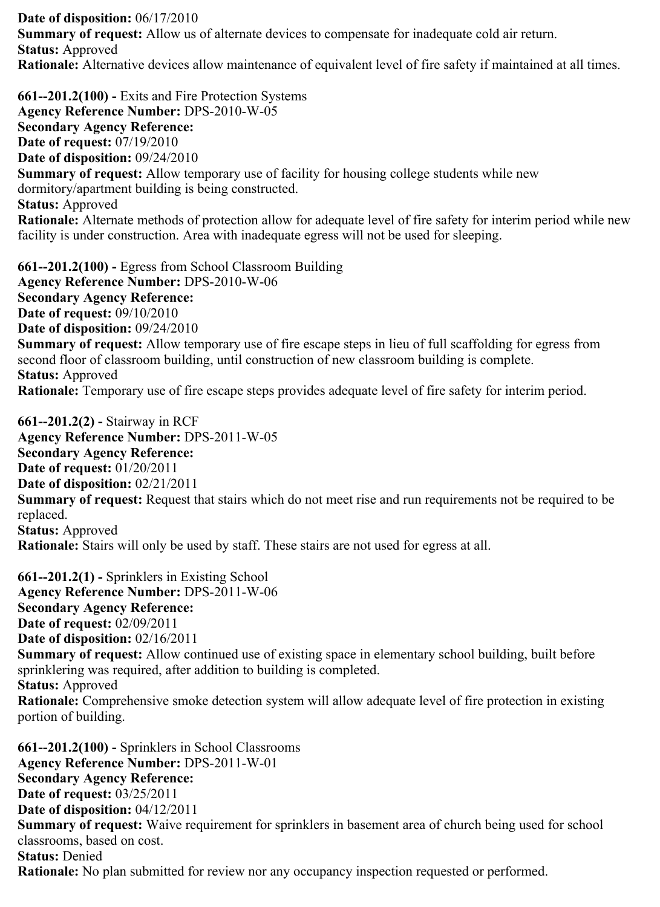Date of disposition: 06/17/2010 Summary of request: Allow us of alternate devices to compensate for inadequate cold air return. Status: Approved Rationale: Alternative devices allow maintenance of equivalent level of fire safety if maintained at all times.

 $661 - 201.2(100)$  - Exits and Fire Protection Systems Agency Reference Number: DPS-2010-W-05 Secondary Agency Reference: Date of request: 07/19/2010 Date of disposition: 09/24/2010 Summary of request: Allow temporary use of facility for housing college students while new dormitory/apartment building is being constructed. Status: Approved Rationale: Alternate methods of protection allow for adequate level of fire safety for interim period while new facility is under construction. Area with inadequate egress will not be used for sleeping.

 $661 - 201.2(100)$  - Egress from School Classroom Building Agency Reference Number: DPS-2010-W-06 Secondary Agency Reference: Date of request: 09/10/2010 Date of disposition: 09/24/2010 Summary of request: Allow temporary use of fire escape steps in lieu of full scaffolding for egress from second floor of classroom building, until construction of new classroom building is complete. Status: Approved Rationale: Temporary use of fire escape steps provides adequate level of fire safety for interim period.

 $661 - 201.2(2)$  - Stairway in RCF Agency Reference Number: DPS-2011-W-05 Secondary Agency Reference: Date of request: 01/20/2011 Date of disposition: 02/21/2011 Summary of request: Request that stairs which do not meet rise and run requirements not be required to be replaced. Status: Approved Rationale: Stairs will only be used by staff. These stairs are not used for egress at all.

 $661 - 201.2(1)$  - Sprinklers in Existing School Agency Reference Number: DPS-2011-W-06 Secondary Agency Reference: Date of request: 02/09/2011 Date of disposition: 02/16/2011 Summary of request: Allow continued use of existing space in elementary school building, built before sprinklering was required, after addition to building is completed. Status: Approved Rationale: Comprehensive smoke detection system will allow adequate level of fire protection in existing portion of building.

 $661 - 201.2(100)$  - Sprinklers in School Classrooms Agency Reference Number: DPS-2011-W-01 Secondary Agency Reference: Date of request: 03/25/2011 Date of disposition: 04/12/2011 Summary of request: Waive requirement for sprinklers in basement area of church being used for school classrooms, based on cost. Status: Denied Rationale: No plan submitted for review nor any occupancy inspection requested or performed.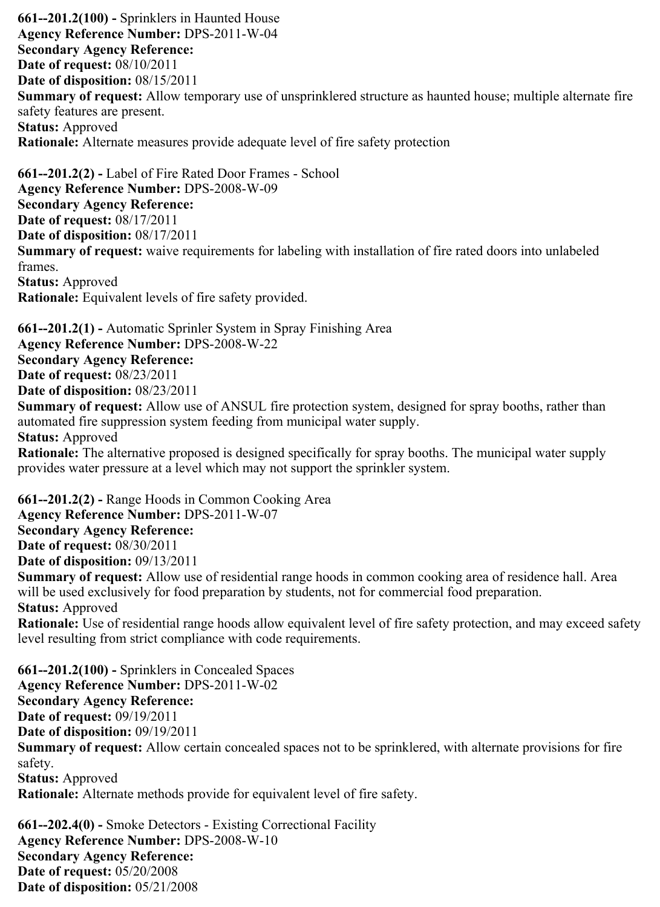$661 - 201.2(100)$  - Sprinklers in Haunted House Agency Reference Number: DPS-2011-W-04 Secondary Agency Reference: Date of request: 08/10/2011 Date of disposition: 08/15/2011 Summary of request: Allow temporary use of unsprinklered structure as haunted house; multiple alternate fire safety features are present. Status: Approved Rationale: Alternate measures provide adequate level of fire safety protection

 $661 - 201.2(2)$  - Label of Fire Rated Door Frames - School Agency Reference Number: DPS-2008-W-09 Secondary Agency Reference: Date of request: 08/17/2011 Date of disposition: 08/17/2011 Summary of request: waive requirements for labeling with installation of fire rated doors into unlabeled frames. Status: Approved Rationale: Equivalent levels of fire safety provided.

 $661 - 201.2(1)$  - Automatic Sprinler System in Spray Finishing Area Agency Reference Number: DPS-2008-W-22 Secondary Agency Reference: Date of request: 08/23/2011 Date of disposition: 08/23/2011 Summary of request: Allow use of ANSUL fire protection system, designed for spray booths, rather than automated fire suppression system feeding from municipal water supply. Status: Approved Rationale: The alternative proposed is designed specifically for spray booths. The municipal water supply provides water pressure at a level which may not support the sprinkler system.

 $661 - 201.2(2)$  - Range Hoods in Common Cooking Area Agency Reference Number: DPS-2011-W-07 Secondary Agency Reference: Date of request: 08/30/2011 Date of disposition: 09/13/2011 Summary of request: Allow use of residential range hoods in common cooking area of residence hall. Area will be used exclusively for food preparation by students, not for commercial food preparation. Status: Approved Rationale: Use of residential range hoods allow equivalent level of fire safety protection, and may exceed safety level resulting from strict compliance with code requirements.  $661 - 201.2(100)$  - Sprinklers in Concealed Spaces Agency Reference Number: DPS-2011-W-02 Secondary Agency Reference: Date of request: 09/19/2011 Date of disposition: 09/19/2011 Summary of request: Allow certain concealed spaces not to be sprinklered, with alternate provisions for fire safety. Status: Approved Rationale: Alternate methods provide for equivalent level of fire safety.

 $661 - 202.4(0)$  - Smoke Detectors - Existing Correctional Facility Agency Reference Number: DPS-2008-W-10 Secondary Agency Reference: Date of request: 05/20/2008 Date of disposition: 05/21/2008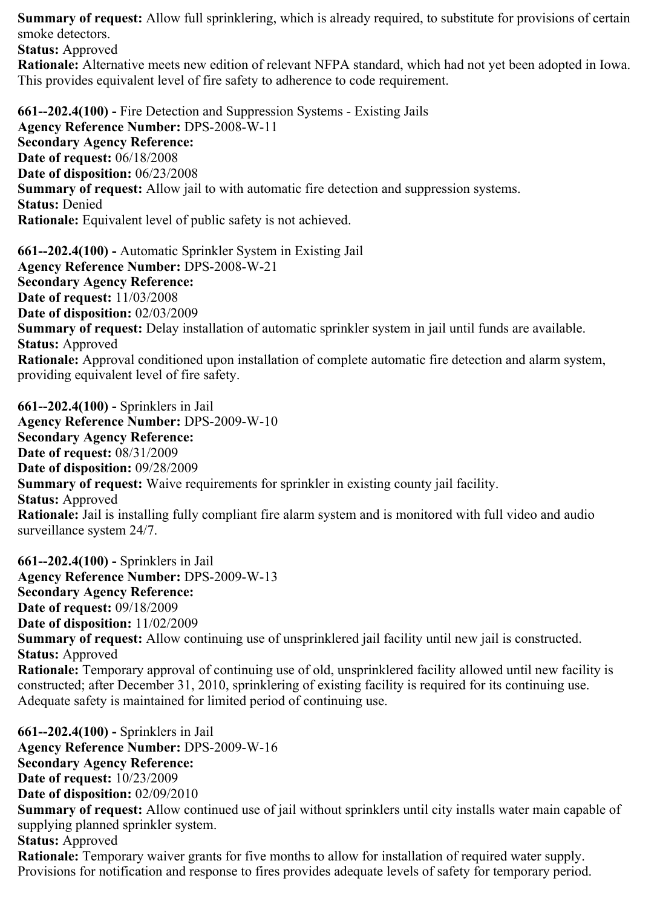Summary of request: Allow full sprinklering, which is already required, to substitute for provisions of certain smoke detectors.

Status: Approved

Rationale: Alternative meets new edition of relevant NFPA standard, which had not yet been adopted in Iowa. This provides equivalent level of fire safety to adherence to code requirement.

661--202.4(100) - Fire Detection and Suppression Systems - Existing Jails Agency Reference Number: DPS-2008-W-11 Secondary Agency Reference: Date of request: 06/18/2008 Date of disposition: 06/23/2008 Summary of request: Allow jail to with automatic fire detection and suppression systems. Status: Denied Rationale: Equivalent level of public safety is not achieved.

661--202.4(100) - Automatic Sprinkler System in Existing Jail Agency Reference Number: DPS-2008-W-21 Secondary Agency Reference: Date of request: 11/03/2008 Date of disposition: 02/03/2009 Summary of request: Delay installation of automatic sprinkler system in jail until funds are available. Status: Approved Rationale: Approval conditioned upon installation of complete automatic fire detection and alarm system, providing equivalent level of fire safety.

661--202.4(100) - Sprinklers in Jail Agency Reference Number: DPS-2009-W-10 Secondary Agency Reference: Date of request: 08/31/2009 Date of disposition: 09/28/2009 Summary of request: Waive requirements for sprinkler in existing county jail facility. Status: Approved Rationale: Jail is installing fully compliant fire alarm system and is monitored with full video and audio surveillance system 24/7.

661--202.4(100) - Sprinklers in Jail Agency Reference Number: DPS-2009-W-13 Secondary Agency Reference: Date of request: 09/18/2009 Date of disposition: 11/02/2009 Summary of request: Allow continuing use of unsprinklered jail facility until new jail is constructed. Status: Approved Rationale: Temporary approval of continuing use of old, unsprinklered facility allowed until new facility is constructed; after December 31, 2010, sprinklering of existing facility is required for its continuing use. Adequate safety is maintained for limited period of continuing use.

661--202.4(100) - Sprinklers in Jail Agency Reference Number: DPS-2009-W-16 Secondary Agency Reference: Date of request: 10/23/2009 Date of disposition: 02/09/2010 Summary of request: Allow continued use of jail without sprinklers until city installs water main capable of supplying planned sprinkler system. Status: Approved **Rationale:** Temporary waiver grants for five months to allow for installation of required water supply. Provisions for notification and response to fires provides adequate levels of safety for temporary period.